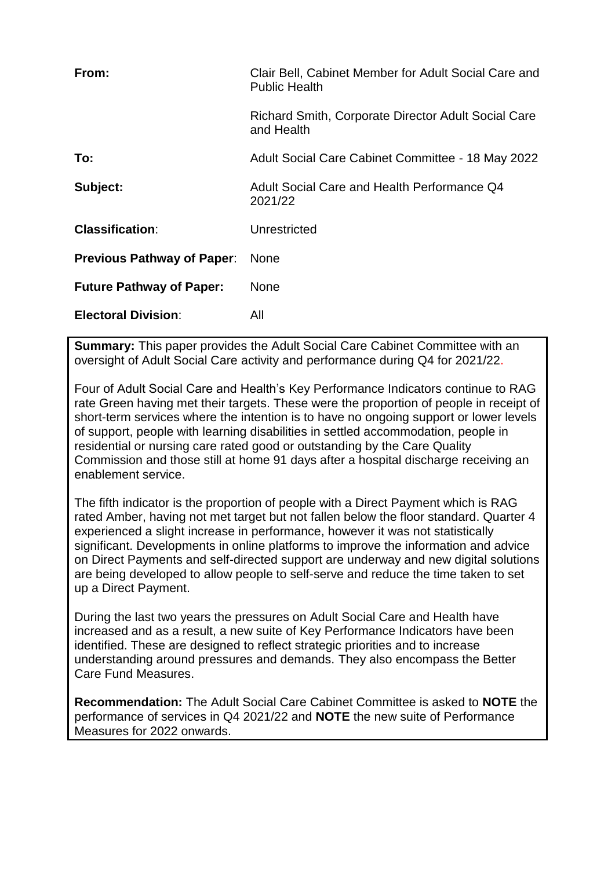| From:                             | Clair Bell, Cabinet Member for Adult Social Care and<br><b>Public Health</b> |
|-----------------------------------|------------------------------------------------------------------------------|
|                                   | <b>Richard Smith, Corporate Director Adult Social Care</b><br>and Health     |
| To:                               | Adult Social Care Cabinet Committee - 18 May 2022                            |
| Subject:                          | Adult Social Care and Health Performance Q4<br>2021/22                       |
| <b>Classification:</b>            | Unrestricted                                                                 |
| <b>Previous Pathway of Paper:</b> | <b>None</b>                                                                  |
| <b>Future Pathway of Paper:</b>   | None                                                                         |
| <b>Electoral Division:</b>        | All                                                                          |

**Summary:** This paper provides the Adult Social Care Cabinet Committee with an oversight of Adult Social Care activity and performance during Q4 for 2021/22.

Four of Adult Social Care and Health's Key Performance Indicators continue to RAG rate Green having met their targets. These were the proportion of people in receipt of short-term services where the intention is to have no ongoing support or lower levels of support, people with learning disabilities in settled accommodation, people in residential or nursing care rated good or outstanding by the Care Quality Commission and those still at home 91 days after a hospital discharge receiving an enablement service.

The fifth indicator is the proportion of people with a Direct Payment which is RAG rated Amber, having not met target but not fallen below the floor standard. Quarter 4 experienced a slight increase in performance, however it was not statistically significant. Developments in online platforms to improve the information and advice on Direct Payments and self-directed support are underway and new digital solutions are being developed to allow people to self-serve and reduce the time taken to set up a Direct Payment.

During the last two years the pressures on Adult Social Care and Health have increased and as a result, a new suite of Key Performance Indicators have been identified. These are designed to reflect strategic priorities and to increase understanding around pressures and demands. They also encompass the Better Care Fund Measures.

**Recommendation:** The Adult Social Care Cabinet Committee is asked to **NOTE** the performance of services in Q4 2021/22 and **NOTE** the new suite of Performance Measures for 2022 onwards.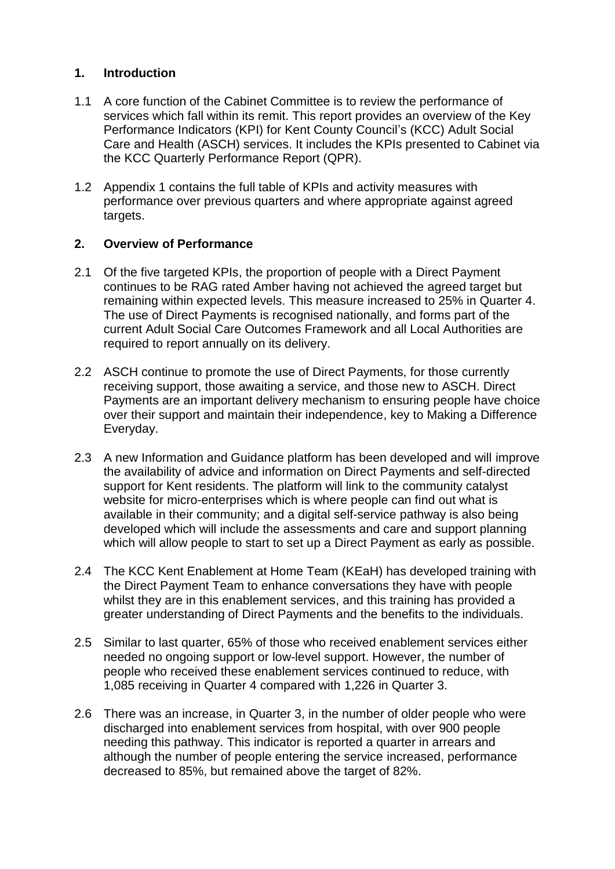## **1. Introduction**

- 1.1 A core function of the Cabinet Committee is to review the performance of services which fall within its remit. This report provides an overview of the Key Performance Indicators (KPI) for Kent County Council's (KCC) Adult Social Care and Health (ASCH) services. It includes the KPIs presented to Cabinet via the KCC Quarterly Performance Report (QPR).
- 1.2 Appendix 1 contains the full table of KPIs and activity measures with performance over previous quarters and where appropriate against agreed targets.

#### **2. Overview of Performance**

- 2.1 Of the five targeted KPIs, the proportion of people with a Direct Payment continues to be RAG rated Amber having not achieved the agreed target but remaining within expected levels. This measure increased to 25% in Quarter 4. The use of Direct Payments is recognised nationally, and forms part of the current Adult Social Care Outcomes Framework and all Local Authorities are required to report annually on its delivery.
- 2.2 ASCH continue to promote the use of Direct Payments, for those currently receiving support, those awaiting a service, and those new to ASCH. Direct Payments are an important delivery mechanism to ensuring people have choice over their support and maintain their independence, key to Making a Difference Everyday.
- 2.3 A new Information and Guidance platform has been developed and will improve the availability of advice and information on Direct Payments and self-directed support for Kent residents. The platform will link to the community catalyst website for micro-enterprises which is where people can find out what is available in their community; and a digital self-service pathway is also being developed which will include the assessments and care and support planning which will allow people to start to set up a Direct Payment as early as possible.
- 2.4 The KCC Kent Enablement at Home Team (KEaH) has developed training with the Direct Payment Team to enhance conversations they have with people whilst they are in this enablement services, and this training has provided a greater understanding of Direct Payments and the benefits to the individuals.
- 2.5 Similar to last quarter, 65% of those who received enablement services either needed no ongoing support or low-level support. However, the number of people who received these enablement services continued to reduce, with 1,085 receiving in Quarter 4 compared with 1,226 in Quarter 3.
- 2.6 There was an increase, in Quarter 3, in the number of older people who were discharged into enablement services from hospital, with over 900 people needing this pathway. This indicator is reported a quarter in arrears and although the number of people entering the service increased, performance decreased to 85%, but remained above the target of 82%.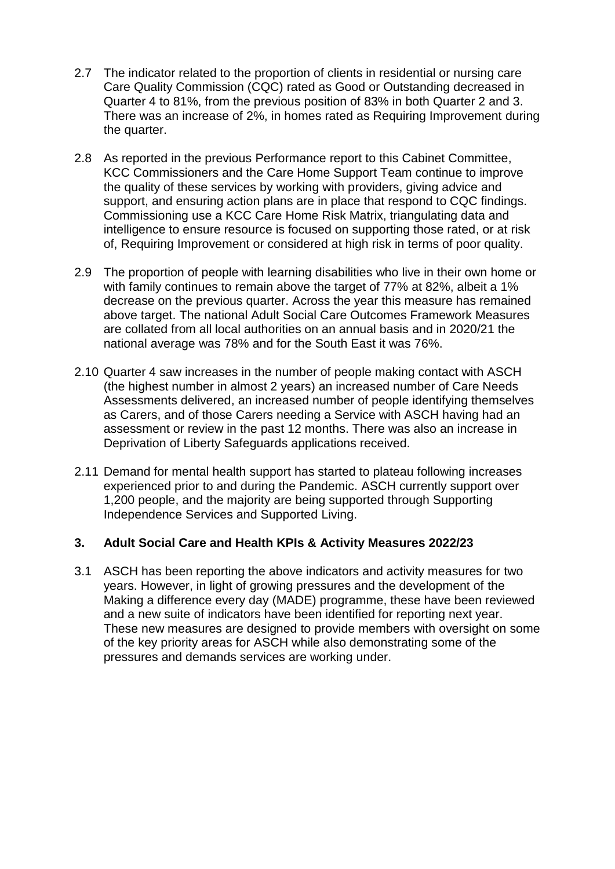- 2.7 The indicator related to the proportion of clients in residential or nursing care Care Quality Commission (CQC) rated as Good or Outstanding decreased in Quarter 4 to 81%, from the previous position of 83% in both Quarter 2 and 3. There was an increase of 2%, in homes rated as Requiring Improvement during the quarter.
- 2.8 As reported in the previous Performance report to this Cabinet Committee, KCC Commissioners and the Care Home Support Team continue to improve the quality of these services by working with providers, giving advice and support, and ensuring action plans are in place that respond to CQC findings. Commissioning use a KCC Care Home Risk Matrix, triangulating data and intelligence to ensure resource is focused on supporting those rated, or at risk of, Requiring Improvement or considered at high risk in terms of poor quality.
- 2.9 The proportion of people with learning disabilities who live in their own home or with family continues to remain above the target of 77% at 82%, albeit a 1% decrease on the previous quarter. Across the year this measure has remained above target. The national Adult Social Care Outcomes Framework Measures are collated from all local authorities on an annual basis and in 2020/21 the national average was 78% and for the South East it was 76%.
- 2.10 Quarter 4 saw increases in the number of people making contact with ASCH (the highest number in almost 2 years) an increased number of Care Needs Assessments delivered, an increased number of people identifying themselves as Carers, and of those Carers needing a Service with ASCH having had an assessment or review in the past 12 months. There was also an increase in Deprivation of Liberty Safeguards applications received.
- 2.11 Demand for mental health support has started to plateau following increases experienced prior to and during the Pandemic. ASCH currently support over 1,200 people, and the majority are being supported through Supporting Independence Services and Supported Living.

#### **3. Adult Social Care and Health KPIs & Activity Measures 2022/23**

3.1 ASCH has been reporting the above indicators and activity measures for two years. However, in light of growing pressures and the development of the Making a difference every day (MADE) programme, these have been reviewed and a new suite of indicators have been identified for reporting next year. These new measures are designed to provide members with oversight on some of the key priority areas for ASCH while also demonstrating some of the pressures and demands services are working under.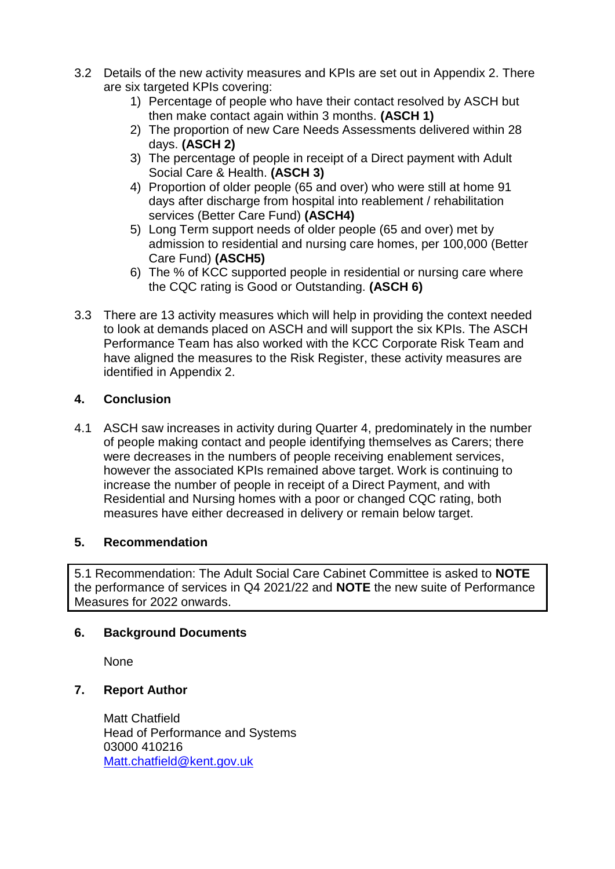- 3.2 Details of the new activity measures and KPIs are set out in Appendix 2. There are six targeted KPIs covering:
	- 1) Percentage of people who have their contact resolved by ASCH but then make contact again within 3 months. **(ASCH 1)**
	- 2) The proportion of new Care Needs Assessments delivered within 28 days. **(ASCH 2)**
	- 3) The percentage of people in receipt of a Direct payment with Adult Social Care & Health. **(ASCH 3)**
	- 4) Proportion of older people (65 and over) who were still at home 91 days after discharge from hospital into reablement / rehabilitation services (Better Care Fund) **(ASCH4)**
	- 5) Long Term support needs of older people (65 and over) met by admission to residential and nursing care homes, per 100,000 (Better Care Fund) **(ASCH5)**
	- 6) The % of KCC supported people in residential or nursing care where the CQC rating is Good or Outstanding. **(ASCH 6)**
- 3.3 There are 13 activity measures which will help in providing the context needed to look at demands placed on ASCH and will support the six KPIs. The ASCH Performance Team has also worked with the KCC Corporate Risk Team and have aligned the measures to the Risk Register, these activity measures are identified in Appendix 2.

# **4. Conclusion**

4.1 ASCH saw increases in activity during Quarter 4, predominately in the number of people making contact and people identifying themselves as Carers; there were decreases in the numbers of people receiving enablement services, however the associated KPIs remained above target. Work is continuing to increase the number of people in receipt of a Direct Payment, and with Residential and Nursing homes with a poor or changed CQC rating, both measures have either decreased in delivery or remain below target.

## **5. Recommendation**

5.1 Recommendation: The Adult Social Care Cabinet Committee is asked to **NOTE**  the performance of services in Q4 2021/22 and **NOTE** the new suite of Performance Measures for 2022 onwards.

## **6. Background Documents**

None

## **7. Report Author**

Matt Chatfield Head of Performance and Systems 03000 410216 [Matt.chatfield@kent.gov.uk](mailto:Matt.chatfield@kent.gov.uk)